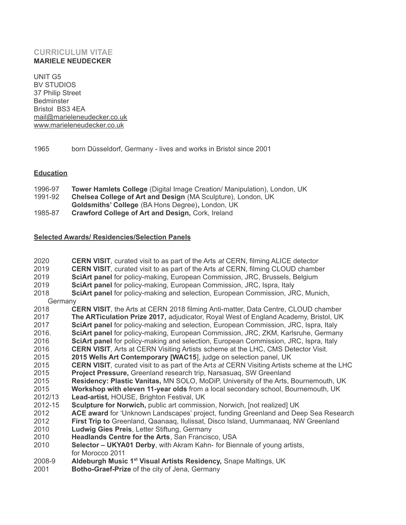# **CURRICULUM VITAE MARIELE NEUDECKER**

UNIT G5 BV STUDIOS 37 Philip Street Bedminster Bristol BS3 4EA [mail@marieleneudecker.co.uk](mailto:mail@marieleneudecker.co.uk) [www.marieleneudecker.co.uk](http://www.marieleneudecker.co.uk/)

1965 born Düsseldorf, Germany - lives and works in Bristol since 2001

## **Education**

- 1996-97 **Tower Hamlets College** (Digital Image Creation/ Manipulation), London, UK
- 1991-92 **Chelsea College of Art and Design** (MA Sculpture), London, UK
- **Goldsmiths' College** (BA Hons Degree)**,** London, UK
- 1985-87 **Crawford College of Art and Design,** Cork, Ireland

# **Selected Awards/ Residencies/Selection Panels**

| 2020<br>2019<br>2019 | <b>CERN VISIT</b> , curated visit to as part of the Arts at CERN, filming ALICE detector<br><b>CERN VISIT, curated visit to as part of the Arts at CERN, filming CLOUD chamber</b><br>SciArt panel for policy-making, European Commission, JRC, Brussels, Belgium |  |
|----------------------|-------------------------------------------------------------------------------------------------------------------------------------------------------------------------------------------------------------------------------------------------------------------|--|
| 2019                 | SciArt panel for policy-making, European Commission, JRC, Ispra, Italy                                                                                                                                                                                            |  |
| 2018                 | SciArt panel for policy-making and selection, European Commission, JRC, Munich,                                                                                                                                                                                   |  |
| Germany              |                                                                                                                                                                                                                                                                   |  |
| 2018                 | <b>CERN VISIT, the Arts at CERN 2018 filming Anti-matter, Data Centre, CLOUD chamber</b>                                                                                                                                                                          |  |
| 2017                 | The ARTiculation Prize 2017, adjudicator, Royal West of England Academy, Bristol, UK                                                                                                                                                                              |  |
| 2017                 | SciArt panel for policy-making and selection, European Commission, JRC, Ispra, Italy                                                                                                                                                                              |  |
| 2016.                | SciArt panel for policy-making, European Commission, JRC, ZKM, Karlsruhe, Germany                                                                                                                                                                                 |  |
| 2016                 | SciArt panel for policy-making and selection, European Commission, JRC, Ispra, Italy                                                                                                                                                                              |  |
| 2016                 | <b>CERN VISIT, Arts at CERN Visiting Artists scheme at the LHC, CMS Detector Visit.</b>                                                                                                                                                                           |  |
| 2015                 | 2015 Wells Art Contemporary [WAC15], judge on selection panel, UK                                                                                                                                                                                                 |  |
| 2015                 | <b>CERN VISIT, curated visit to as part of the Arts at CERN Visiting Artists scheme at the LHC</b>                                                                                                                                                                |  |
| 2015                 | Project Pressure, Greenland research trip, Narsasuaq, SW Greenland                                                                                                                                                                                                |  |
| 2015                 | Residency: Plastic Vanitas, MN SOLO, MoDiP, University of the Arts, Bournemouth, UK                                                                                                                                                                               |  |
| 2015                 | Workshop with eleven 11-year olds from a local secondary school, Bournemouth, UK                                                                                                                                                                                  |  |
| 2012/13              | Lead-artist, HOUSE, Brighton Festival, UK                                                                                                                                                                                                                         |  |
| 2012-15              | Sculpture for Norwich, public art commission, Norwich, [not realized] UK                                                                                                                                                                                          |  |
| 2012                 | ACE award for 'Unknown Landscapes' project, funding Greenland and Deep Sea Research                                                                                                                                                                               |  |
| 2012                 | First Trip to Greenland, Qaanaaq, Ilulissat, Disco Island, Uummanaaq, NW Greenland                                                                                                                                                                                |  |
| 2010                 | Ludwig Gies Preis, Letter Stiftung, Germany                                                                                                                                                                                                                       |  |
| 2010                 | Headlands Centre for the Arts, San Francisco, USA                                                                                                                                                                                                                 |  |
| 2010                 | Selector - UKYA01 Derby, with Akram Kahn- for Biennale of young artists,                                                                                                                                                                                          |  |
|                      | for Morocco 2011                                                                                                                                                                                                                                                  |  |
| 2008-9               | Aldeburgh Music 1 <sup>st</sup> Visual Artists Residency, Snape Maltings, UK                                                                                                                                                                                      |  |
| 2001                 | Botho-Graef-Prize of the city of Jena, Germany                                                                                                                                                                                                                    |  |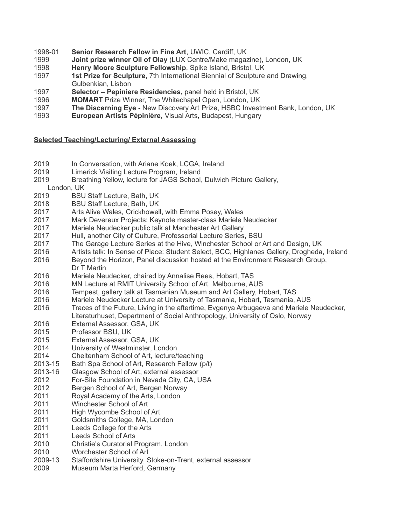- 1998-01 **Senior Research Fellow in Fine Art**, UWIC, Cardiff, UK
- **Joint prize winner Oil of Olay** (LUX Centre/Make magazine), London, UK
- **Henry Moore Sculpture Fellowship**, Spike Island, Bristol, UK
- **1st Prize for Sculpture**, 7th International Biennial of Sculpture and Drawing, Gulbenkian, Lisbon
- **Selector Pepiniere Residencies,** panel held in Bristol, UK
- **MOMART** Prize Winner, The Whitechapel Open, London, UK
- **The Discerning Eye -** New Discovery Art Prize, HSBC Investment Bank, London, UK
- **European Artists Pépinière,** Visual Arts, Budapest, Hungary

### **Selected Teaching/Lecturing/ External Assessing**

- 2019 In Conversation, with Ariane Koek, LCGA, Ireland
- Limerick Visiting Lecture Program, Ireland
- Breathing Yellow, lecture for JAGS School, Dulwich Picture Gallery,
- London, UK
- BSU Staff Lecture, Bath, UK
- BSU Staff Lecture, Bath, UK
- Arts Alive Wales, Crickhowell, with Emma Posey, Wales
- Mark Devereux Projects: Keynote master-class Mariele Neudecker
- Mariele Neudecker public talk at Manchester Art Gallery
- 2017 Hull, another City of Culture, Professorial Lecture Series, BSU
- The Garage Lecture Series at the Hive, Winchester School or Art and Design, UK
- Artists talk: In Sense of Place: Student Select, BCC, Highlanes Gallery, Drogheda, Ireland
- Beyond the Horizon, Panel discussion hosted at the Environment Research Group, Dr T Martin
- Mariele Neudecker, chaired by Annalise Rees, Hobart, TAS
- MN Lecture at RMIT University School of Art, Melbourne, AUS
- Tempest, gallery talk at Tasmanian Museum and Art Gallery, Hobart, TAS
- Mariele Neudecker Lecture at University of Tasmania, Hobart, Tasmania, AUS
- Traces of the Future, Living in the aftertime, Evgenya Arbugaeva and Mariele Neudecker,
- Literaturhuset, Department of Social Anthropology, University of Oslo, Norway
- External Assessor, GSA, UK
- Professor BSU, UK
- External Assessor, GSA, UK
- University of Westminster, London
- Cheltenham School of Art, lecture/teaching
- 2013-15 Bath Spa School of Art, Research Fellow (p/t)
- 2013-16 Glasgow School of Art, external assessor
- For-Site Foundation in Nevada City, CA, USA
- Bergen School of Art, Bergen Norway
- Royal Academy of the Arts, London
- Winchester School of Art
- High Wycombe School of Art
- Goldsmiths College, MA, London
- Leeds College for the Arts
- Leeds School of Arts
- Christie's Curatorial Program, London
- Worchester School of Art
- 2009-13 Staffordshire University, Stoke-on-Trent, external assessor
- Museum Marta Herford, Germany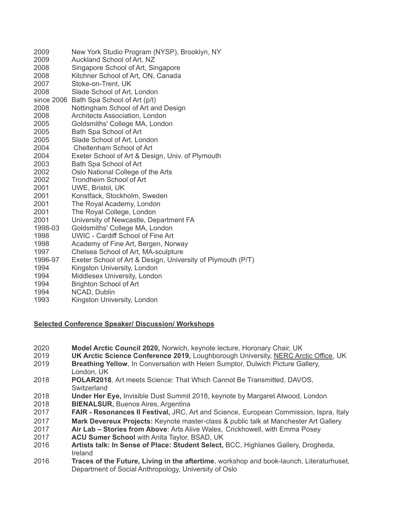| 2009                       | New York Studio Program (NYSP), Brooklyn, NY                |
|----------------------------|-------------------------------------------------------------|
| 2009                       | Auckland School of Art, NZ                                  |
| 2008                       | Singapore School of Art, Singapore                          |
| 2008                       | Kitchner School of Art, ON, Canada                          |
| 2007                       | Stoke-on-Trent, UK                                          |
| 2008                       | Slade School of Art, London                                 |
|                            | since 2006 Bath Spa School of Art (p/t)                     |
| 2008                       | Nottingham School of Art and Design                         |
| 2008                       | Architects Association, London                              |
| 2005                       | Goldsmiths' College MA, London                              |
| 2005                       | Bath Spa School of Art                                      |
| 2005                       | Slade School of Art, London                                 |
| 2004                       | Cheltenham School of Art                                    |
| 2004                       | Exeter School of Art & Design, Univ. of Plymouth            |
| 2003                       | Bath Spa School of Art                                      |
| 2002                       | Oslo National College of the Arts                           |
| 2002                       | Trondheim School of Art                                     |
| 2001                       | <b>UWE, Bristol, UK</b>                                     |
| 2001                       | Konstfack, Stockholm, Sweden                                |
| 2001                       | The Royal Academy, London                                   |
| 2001                       | The Royal College, London                                   |
| 2001                       | University of Newcastle, Department FA                      |
| 1998-03                    | Goldsmiths' College MA, London                              |
| 1998                       | UWIC - Cardiff School of Fine Art                           |
| 1998                       | Academy of Fine Art, Bergen, Norway                         |
| 1997                       | Chelsea School of Art, MA-sculpture                         |
| 1996-97                    | Exeter School of Art & Design, University of Plymouth (P/T) |
| 1994                       | Kingston University, London                                 |
| 1994                       | Middlesex University, London                                |
| 1994                       | <b>Brighton School of Art</b>                               |
| $\lambda$ $\cap$ $\Lambda$ | $\mathbf{N}$                                                |

- NCAD, Dublin
- 1993 Kingston University, London

### **Selected Conference Speaker/ Discussion/ Workshops**

- **Model Arctic Council 2020,** Norwich, keynote lecture, Horonary Chair, UK
- **UK Arctic Science Conference 2019, Loughborough University, [NERC Arctic Office](http://www.arctic.ac.uk/), UK**
- **Breathing Yellow**, In Conversation with Helen Sumptor, Dulwich Picture Gallery, London, UK
- **POLAR2018***,* Art meets Science: That Which Cannot Be Transmitted, DAVOS, **Switzerland**
- **Under Her Eye,** Invisible Dust Summit 2018, keynote by Margaret Atwood, London
- **BIENALSUR,** Buenos Aires, Argentina
- **FAIR Resonances II Festival,** JRC, Art and Science, European Commission, Ispra, Italy
- **Mark Devereux Projects:** Keynote master-class & public talk at Manchester Art Gallery
- **Air Lab Stories from Above**: Arts Alive Wales, Crickhowell, with Emma Posey
- **ACU Sumer School** with Anita Taylor, BSAD, UK
- **Artists talk: In Sense of Place: Student Select,** BCC, Highlanes Gallery, Drogheda, Ireland
- **Traces of the Future, Living in the aftertime**, workshop and book-launch, Literaturhuset, Department of Social Anthropology, University of Oslo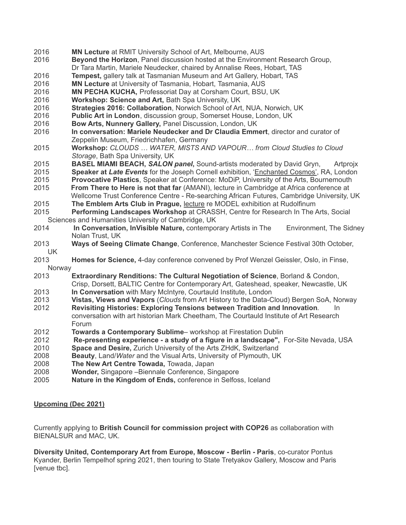- **MN Lecture** at RMIT University School of Art, Melbourne, AUS
- **Beyond the Horizon**, Panel discussion hosted at the Environment Research Group,
- Dr Tara Martin, Mariele Neudecker, chaired by Annalise Rees, Hobart, TAS
- **Tempest,** gallery talk at Tasmanian Museum and Art Gallery, Hobart, TAS
- **MN Lecture** at University of Tasmania, Hobart, Tasmania, AUS
- **MN PECHA KUCHA,** Professoriat Day at Corsham Court, BSU, UK
- **Workshop: Science and Art,** Bath Spa University, UK
- **Strategies 2016: Collaboration**, Norwich School of Art, NUA, Norwich, UK
- **Public Art in London**, discussion group, Somerset House, London, UK
- **Bow Arts, Nunnery Gallery,** Panel Discussion, London, UK
- **In conversation: Mariele Neudecker and Dr Claudia Emmert**, director and curator of Zeppelin Museum, Friedrichhafen, Germany
- **Workshop:** *CLOUDS … WATER, MISTS AND VAPOUR… from Cloud Studies to Cloud Storage*, Bath Spa University, UK
- **BASEL MIAMI BEACH,** *SALON panel***,** Sound-artists moderated by David Gryn, Artprojx
- **Speaker at** *Late Events* for the Joseph Cornell exhibition, ['Enchanted Cosmos'](https://www.royalacademy.org.uk/event/enchanted-cosmos), RA, London
- **Provocative Plastics**, Speaker at Conference: MoDiP, University of the Arts, Bournemouth
- **From There to Here is not that far** (AMANI), lecture in Cambridge at Africa conference at Wellcome Trust Conference Centre - Re-searching African Futures, Cambridge University, UK
- **The Emblem Arts Club in Prague,** lecture re MODEL exhibition at Rudolfinum
- **Performing Landscapes Workshop** at CRASSH, Centre for Research In The Arts, Social Sciences and Humanities University of Cambridge, UK
- **In Conversation, InVisible Nature,** contemporary Artists in The Environment, The Sidney Nolan Trust, UK
- **Ways of Seeing Climate Change**, Conference, Manchester Science Festival 30th October, UK
- **Homes for Science,** 4-day conference convened by Prof Wenzel Geissler, Oslo, in Finse, **Norway**
- **Extraordinary Renditions: The Cultural Negotiation of Science**, Borland & Condon, Crisp, Dorsett, BALTIC Centre for Contemporary Art, Gateshead, speaker, Newcastle, UK
- **In Conversation** with Mary McIntyre, Courtauld Institute, London
- **Vistas, Views and Vapors** (*Clouds* from Art History to the Data-Cloud) Bergen SoA, Norway
- **Revisiting Histories: Exploring Tensions between Tradition and Innovation***.* In conversation with art historian Mark Cheetham, The Courtauld Institute of Art Research Forum
- **Towards a Contemporary Sublime** workshop at Firestation Dublin
- **Re-presenting experience a study of a figure in a landscape",** For-Site Nevada, USA
- **Space and Desire,** Zurich University of the Arts ZHdK, Switzerland
- **Beauty**, Land/*Water* and the Visual Arts, University of Plymouth, UK
- **The New Art Centre Towada,** Towada, Japan
- **Wonder,** Singapore –Biennale Conference, Singapore
- **Nature in the Kingdom of Ends,** conference in Selfoss, Iceland

## **Upcoming (Dec 2021)**

Currently applying to **British Council for commission project with COP26** as collaboration with BIENALSUR and MAC, UK.

**Diversity United, Contemporary Art from Europe, Moscow - Berlin - Paris**, co-curator Pontus Kyander, Berlin Tempelhof spring 2021, then touring to State Tretyakov Gallery, Moscow and Paris [venue tbc].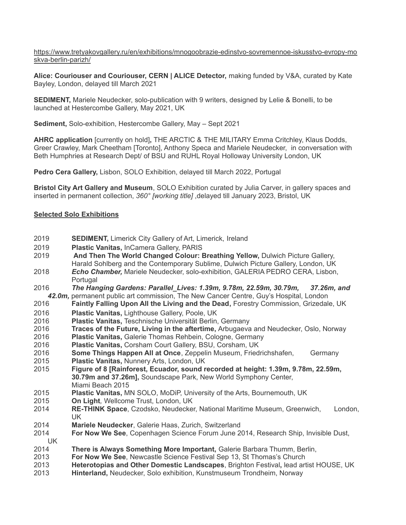[https://www.tretyakovgallery.ru/en/exhibitions/mnogoobrazie-edinstvo-sovremennoe-iskusstvo-evropy-mo](https://www.tretyakovgallery.ru/en/exhibitions/mnogoobrazie-edinstvo-sovremennoe-iskusstvo-evropy-moskva-berlin-parizh/) [skva-berlin-parizh/](https://www.tretyakovgallery.ru/en/exhibitions/mnogoobrazie-edinstvo-sovremennoe-iskusstvo-evropy-moskva-berlin-parizh/)

**Alice: Couriouser and Couriouser, CERN | ALICE Detector,** making funded by V&A, curated by Kate Bayley, London, delayed till March 2021

**SEDIMENT,** Mariele Neudecker, solo-publication with 9 writers, designed by Lelie & Bonelli, to be launched at Hestercombe Gallery, May 2021, UK

**Sediment,** Solo-exhibition, Hestercombe Gallery, May – Sept 2021

**AHRC application** [currently on hold]**,** THE ARCTIC & THE MILITARY Emma Critchley, Klaus Dodds, Greer Crawley, Mark Cheetham [Toronto], Anthony Speca and Mariele Neudecker, in conversation with Beth Humphries at Research Dept/ of BSU and RUHL Royal Holloway University London, UK

**Pedro Cera Gallery,** Lisbon, SOLO Exhibition, delayed till March 2022, Portugal

**Bristol City Art Gallery and Museum**, SOLO Exhibition curated by Julia Carver, in gallery spaces and inserted in permanent collection, *360° [working title]* ,delayed till January 2023, Bristol, UK

#### **Selected Solo Exhibitions**

- 2019 **SEDIMENT,** Limerick City Gallery of Art, Limerick, Ireland
- 2019 **Plastic Vanitas,** InCamera Gallery, PARIS
- 2019 **And Then The World Changed Colour: Breathing Yellow,** Dulwich Picture Gallery, Harald Sohlberg and the Contemporary Sublime, Dulwich Picture Gallery, London, UK
- 2018 *Echo Chamber,* Mariele Neudecker, solo-exhibition, GALERIA PEDRO CERA, Lisbon, Portugal
- 2016 *The Hanging Gardens: Parallel\_Lives: 1.39m, 9.78m, 22.59m, 30.79m, 37.26m, and 42.0m,* permanent public art commission, The New Cancer Centre, Guy's Hospital, London
- 2016 **Faintly Falling Upon All the Living and the Dead,** Forestry Commission, Grizedale, UK 2016 **Plastic Vanitas,** Lighthouse Gallery, Poole, UK
- 
- 2016 **Plastic Vanitas,** Teschnische Universität Berlin, Germany
- 2016 **Traces of the Future, Living in the aftertime,** Arbugaeva and Neudecker, Oslo, Norway
- 2016 **Plastic Vanitas,** Galerie Thomas Rehbein, Cologne, Germany
- 2016 **Plastic Vanitas,** Corsham Court Gallery, BSU, Corsham, UK
- 2016 **Some Things Happen All at Once**, Zeppelin Museum, Friedrichshafen, Germany
- 2015 **Plastic Vanitas,** Nunnery Arts, London, UK
- 2015 **Figure of 8 [Rainforest, Ecuador, sound recorded at height: 1.39m, 9.78m, 22.59m, 30.79m and 37.26m],** Soundscape Park, New World Symphony Center, Miami Beach 2015
- 2015 **Plastic Vanitas,** MN SOLO, MoDiP, University of the Arts, Bournemouth, UK
- 2015 **On Light***,* Wellcome Trust, London, UK
- 2014 **RE-THINK Space**, Czodsko, Neudecker, National Maritime Museum, Greenwich, London, UK
- 2014 **Mariele Neudecker**, Galerie Haas, Zurich, Switzerland
- 2014 **For Now We See**, Copenhagen Science Forum June 2014, Research Ship, Invisible Dust, UK
- 2014 **There is Always Something More Important,** Galerie Barbara Thumm, Berlin,
- 2013 **For Now We See**, Newcastle Science Festival Sep 13, St Thomas's Church
- 2013 **Heterotopias and Other Domestic Landscapes**, Brighton Festival**,** lead artist HOUSE, UK
- 2013 **Hinterland,** Neudecker, Solo exhibition, Kunstmuseum Trondheim, Norway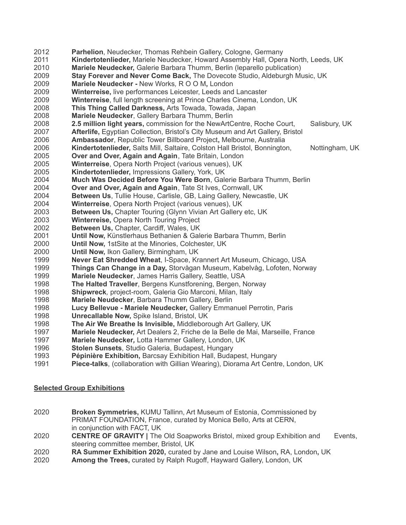- **Parhelion**, Neudecker, Thomas Rehbein Gallery, Cologne, Germany **Kindertotenlieder,** Mariele Neudecker, Howard Assembly Hall, Opera North, Leeds, UK **Mariele Neudecker,** Galerie Barbara Thumm, Berlin (leparello publication) **Stay Forever and Never Come Back,** The Dovecote Studio, Aldeburgh Music, UK **Mariele Neudecker -** New Works*,* R O O M**,** London **Winterreise,** live performances Leicester, Leeds and Lancaster **Winterreise**, full length screening at Prince Charles Cinema, London, UK **This Thing Called Darkness,** Arts Towada, Towada, Japan **Mariele Neudecker**, Gallery Barbara Thumm, Berlin **2.5 million light years,** commission for the NewArtCentre, Roche Court, Salisbury, UK **Afterlife,** Egyptian Collection, Bristol's City Museum and Art Gallery, Bristol **Ambassador**, Republic Tower Billboard Project**,** Melbourne, Australia **Kindertotenlieder,** Salts Mill, Saltaire, Colston Hall Bristol, Bonnington, Nottingham, UK **Over and Over, Again and Again**, Tate Britain, London **Winterreise**, Opera North Project (various venues), UK **Kindertotenlieder,** Impressions Gallery, York, UK **Much Was Decided Before You Were Born**, Galerie Barbara Thumm, Berlin **Over and Over, Again and Again**, Tate St Ives, Cornwall, UK **Between Us**, Tullie House, Carlisle, GB, Laing Gallery, Newcastle, UK **Winterreise**, Opera North Project (various venues), UK **Between Us,** Chapter Touring (Glynn Vivian Art Gallery etc, UK **Winterreise,** Opera North Touring Project **Between Us,** Chapter, Cardiff, Wales, UK **Until Now,** Künstlerhaus Bethanien & Galerie Barbara Thumm, Berlin **Until Now,** 1stSite at the Minories, Colchester, UK **Until Now,** Ikon Gallery, Birmingham, UK **Never Eat Shredded Wheat**, I-Space, Krannert Art Museum, Chicago, USA **Things Can Change in a Day,** Storvågan Museum, Kabelvåg, Lofoten, Norway **Mariele Neudecker**, James Harris Gallery, Seattle, USA **The Halted Traveller**, Bergens Kunstforening, Bergen, Norway **Shipwreck***,* project-room, Galeria Gio Marconi, Milan, Italy **Mariele Neudecker**, Barbara Thumm Gallery, Berlin **Lucy Bellevue - Mariele Neudecker,** Gallery Emmanuel Perrotin, Paris **Unrecallable Now,** Spike Island, Bristol, UK **The Air We Breathe Is Invisible,** Middleborough Art Gallery, UK **Mariele Neudecker,** Art Dealers 2, Friche de la Belle de Mai, Marseille, France **Mariele Neudecker***,* Lotta Hammer Gallery, London, UK **Stolen Sunsets**, Studio Galeria, Budapest, Hungary **Pépinière Exhibition,** Barcsay Exhibition Hall, Budapest, Hungary
- **Piece-talks**, (collaboration with Gillian Wearing), Diorama Art Centre, London, UK

## **Selected Group Exhibitions**

- **Broken Symmetries,** KUMU Tallinn, Art Museum of Estonia, Commissioned by PRIMAT FOUNDATION, France, curated by Monica Bello, Arts at CERN, in conjunction with FACT, UK
- **CENTRE OF GRAVITY** | The Old Soapworks Bristol, mixed group Exhibition and Events, steering committee member, Bristol, UK
- **RA Summer Exhibition 2020,** curated by Jane and Louise Wilson**,** RA, London**,** UK
- **Among the Trees,** curated by Ralph Rugoff, Hayward Gallery, London, UK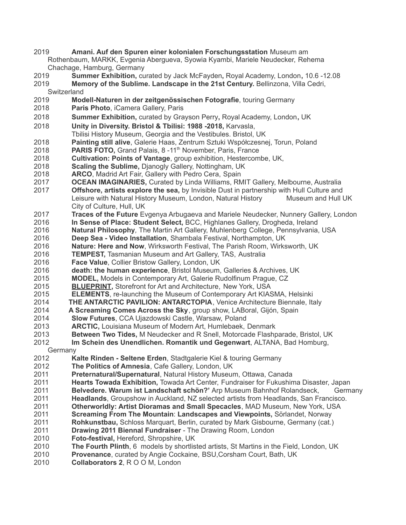- **Amani. Auf den Spuren einer kolonialen Forschungsstation** Museum am Rothenbaum, MARKK, Evgenia Abergueva, Syowia Kyambi, Mariele Neudecker, Rehema Chachage, Hamburg, Germany
- **Summer Exhibition,** curated by Jack McFayden**,** Royal Academy, London**,** 10.6 -12.08
- **Memory of the Sublime. Landscape in the 21st Century.** Bellinzona, Villa Cedri, **Switzerland**
- **Modell-Naturen in der zeitgenössischen Fotografie**, touring Germany
- **Paris Photo**, iCamera Gallery, Paris
- **Summer Exhibition,** curated by Grayson Perry**,** Royal Academy, London**,** UK
- **Unity in Diversity. Bristol & Tbilisi: 1988 -2018,** Karvasla,
- Tbilisi History Museum, Georgia and the Vestibules. Bristol, UK
- **Painting still alive**, Galerie Haas, Zentrum Sztuki Współczesnej, Torun, Poland
- 2018 **PARIS FOTO,** Grand Palais, 8-11<sup>th</sup> November, Paris, France
- **Cultivation: Points of Vantage**, group exhibition, Hestercombe, UK,
- **Scaling the Sublime,** Djanogly Gallery, Nottingham, UK
- **ARCO**, Madrid Art Fair, Gallery with Pedro Cera, Spain
- **OCEAN IMAGINARIES,** Curated by Linda Williams, RMIT Gallery, Melbourne, Australia
- **Offshore, artists explore the sea,** by Invisible Dust in partnership with Hull Culture and Leisure with Natural History Museum, London, Natural History Museum and Hull UK City of Culture, Hull, UK
- **Traces of the Future** Evgenya Arbugaeva and Mariele Neudecker, Nunnery Gallery, London
- **In Sense of Place: Student Select,** BCC, Highlanes Gallery, Drogheda, Ireland
- **Natural Philosophy***,* The Martin Art Gallery, Muhlenberg College, Pennsylvania, USA
- **Deep Sea Video Installation**, Shambala Festival, Northampton, UK
- **Nature: Here and Now**, Wirksworth Festival, The Parish Room, Wirksworth, UK
- **TEMPEST,** Tasmanian Museum and Art Gallery, TAS, Australia
- **Face Value**, Collier Bristow Gallery, London, UK
- **death: the human experience**, Bristol Museum, Galleries & Archives, UK
- **MODEL,** Models in Contemporary Art, Galerie Rudolfinum Prague, CZ
- **[BLUEPRINT](https://go.madmimi.com/redirects/1425410933-e48a11e9041e8b715c844e0cbfe935b2-f7bcd67?pa=28690244756),** Storefront for Art and Architecture, New York, USA
- **ELEMENTS**, re-launching the Museum of Contemporary Art KIASMA, Helsinki
- **THE ANTARCTIC PAVILION: ANTARCTOPIA**, Venice Architecture Biennale, Italy
- **A Screaming Comes Across the Sky**, group show, LABoral, Gijón, Spain
- **Slow Futures**, CCA Ujazdowski Castle, Warsaw, Poland
- **ARCTIC,** Louisiana Museum of Modern Art, Humlebaek, Denmark
- **Between Two Tides,** M Neudecker and R Snell, Motorcade Flashparade, Bristol, UK
- **Im Schein des Unendlichen. Romantik und Gegenwart**, ALTANA, Bad Homburg,
	- **Germany**
- **Kalte Rinden Seltene Erden**, Stadtgalerie Kiel & touring Germany
- **The Politics of Amnesia**, Cafe Gallery, London, UK
- **Preternatural/Supernatural**, Natural History Museum, Ottawa, Canada
- **Hearts Towada Exhibition,** Towada Art Center, Fundraiser for Fukushima Disaster, Japan
- **Belvedere. Warum ist Landschaft schön?'** Arp Museum Bahnhof Rolandseck, Germany
- **Headlands**, Groupshow in Auckland, NZ selected artists from Headlands, San Francisco.
- **Otherworldly: Artist Dioramas and Small Specacles**, MAD Museum, New York, USA
- **Screaming From The Mountain**: **Landscapes and Viewpoints,** Sörlandet, Norway
- **Rohkunstbau,** Schloss Marquart, Berlin, curated by Mark Gisbourne, Germany (cat.)
- **Drawing 2011 Biennal Fundraiser** The Drawing Room, London
- **Foto-festival,** Hereford, Shropshire, UK
- **The Fourth Plinth**, 6 models by shortlisted artists, St Martins in the Field, London, UK
- **Provenance**, curated by Angie Cockaine, BSU,Corsham Court, Bath, UK
- **Collaborators 2**, R O O M, London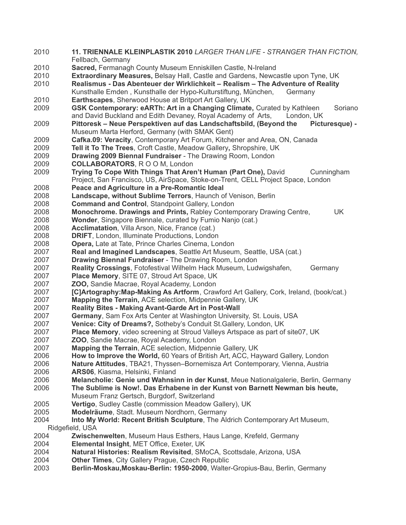**11. TRIENNALE KLEINPLASTIK 2010** *LARGER THAN LIFE - STRANGER THAN FICTION,* Fellbach, Germany **Sacred,** Fermanagh County Museum Enniskillen Castle, N-Ireland **Extraordinary Measures,** Belsay Hall, Castle and Gardens, Newcastle upon Tyne, UK **Realismus - Das Abenteuer der Wirklichkeit – Realism – The Adventure of Reality** Kunsthalle Emden , Kunsthalle der Hypo-Kulturstiftung, München, Germany **Earthscapes**, Sherwood House at Britport Art Gallery, UK **GSK Contemporary: eARTh: Art in a Changing Climate,** Curated by Kathleen Soriano and David Buckland and Edith Devaney, Royal Academy of Arts, London, UK **Pittoresk – Neue Perspektiven auf das Landschaftsbild, (Beyond the Picturesque) -** Museum Marta Herford, Germany (with SMAK Gent) **Cafka.09: Veracity**, Contemporary Art Forum, Kitchener and Area, ON, Canada **Tell it To The Trees**, Croft Castle, Meadow Gallery**,** Shropshire, UK **Drawing 2009 Biennal Fundraiser** - The Drawing Room, London **COLLABORATORS**, R O O M, London **Trying To Cope With Things That Aren't Human (Part One),** David Cunningham Project, San Francisco, US, AirSpace, Stoke-on-Trent, CELL Project Space, London **Peace and Agriculture in a Pre-Romantic Ideal Landscape, without Sublime Terrors**, Haunch of Venison, Berlin **Command and Control**, Standpoint Gallery, London **Monochrome. Drawings and Prints,** Rabley Contemporary Drawing Centre, UK **Wonder**, Singapore Biennale, curated by Fumio Nanjo (cat.) **Acclimatation**, Villa Arson, Nice, France (cat.) **DRIFT**, London, Illuminate Productions, London **Opera,** Late at Tate, Prince Charles Cinema, London **Real and Imagined Landscapes**, Seattle Art Museum, Seattle, USA (cat.) **Drawing Biennal Fundraiser** - The Drawing Room, London **Reality Crossings**, Fotofestival Wilhelm Hack Museum, Ludwigshafen, Germany **Place Memory**, SITE 07, Stroud Art Space, UK **ZOO,** Sandie Macrae, Royal Academy, London **[C]Artography:Map-Making As Artform**, Crawford Art Gallery, Cork, Ireland, (book/cat.) **Mapping the Terrain,** ACE selection, Midpennie Gallery, UK **Reality Bites - Making Avant-Garde Art in Post-Wall Germany**, Sam Fox Arts Center at Washington University, St. Louis, USA **Venice: City of Dreams?,** Sotheby's Conduit St.Gallery, London, UK **Place Memory**, video screening at Stroud Valleys Artspace as part of site07, UK **ZOO**, Sandie Macrae, Royal Academy, London **Mapping the Terrain**, ACE selection, Midpennie Gallery, UK **How to Improve the World,** 60 Years of British Art, ACC, Hayward Gallery, London **Nature Attitudes**, TBA21, Thyssen–Bornemisza Art Contemporary, Vienna, Austria **ARS06**, Kiasma, Helsinki, Finland **Melancholie: Genie und Wahnsinn in der Kunst**, Meue Nationalgalerie, Berlin, Germany **The Sublime is Now!. Das Erhabene in der Kunst von Barnett Newman bis heute,** Museum Franz Gertsch, Burgdorf, Switzerland **Vertigo**, Sudley Castle (commission Meadow Gallery), UK **Modelräume**, Stadt. Museum Nordhorn, Germany **Into My World: Recent British Sculpture**, The Aldrich Contemporary Art Museum, Ridgefield, USA **Zwischenwelten**, Museum Haus Esthers, Haus Lange, Krefeld, Germany **Elemental Insight**, MET Office, Exeter, UK **Natural Histories: Realism Revisited**, SMoCA, Scottsdale, Arizona, USA **Other Times**, City Gallery Prague, Czech Republic **Berlin-Moskau,Moskau-Berlin: 1950-2000**, Walter-Gropius-Bau, Berlin, Germany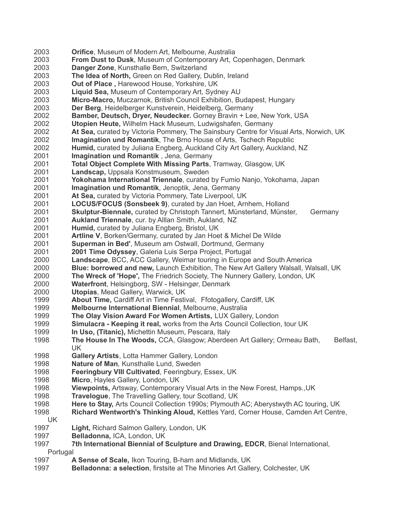**Orifice**, Museum of Modern Art, Melbourne, Australia **From Dust to Dusk**, Museum of Contemporary Art, Copenhagen, Denmark **Danger Zone**, Kunsthalle Bern, Switzerland **The Idea of North,** Green on Red Gallery, Dublin, Ireland **Out of Place ,** Harewood House, Yorkshire, UK **Liquid Sea,** Museum of Contemporary Art, Sydney AU **Micro-Macro,** Muczarnok, British Council Exhibition, Budapest, Hungary **Der Berg**, Heidelberger Kunstverein, Heidelberg, Germany **Bamber, Deutsch, Dryer, Neudecker.** Gorney Bravin + Lee, New York, USA **Utopien Heute,** Wilhelm Hack Museum, Ludwigshafen, Germany **At Sea,** curated by Victoria Pommery, The Sainsbury Centre for Visual Arts, Norwich, UK **Imagination und Romantik**, The Brno House of Arts, Tschech Republic **Humid,** curated by Juliana Engberg, Auckland City Art Gallery, Auckland, NZ **Imagination und Romantik** , Jena, Germany **Total Object Complete With Missing Parts**, Tramway, Glasgow, UK **Landscap,** Uppsala Konstmuseum, Sweden **Yokohama International Triennale**, curated by Fumio Nanjo, Yokohama, Japan **Imagination und Romantik**, Jenoptik, Jena, Germany **At Sea,** curated by Victoria Pommery, Tate Liverpool, UK **LOCUS/FOCUS (Sonsbeek 9)**, curated by Jan Hoet, Arnhem, Holland **Skulptur-Biennale,** curated by Christoph Tannert, Münsterland, Münster, Germany **Aukland Triennale**, cur. by Alllan Smith, Aukland, NZ **Humid,** curated by Juliana Engberg, Bristol, UK **Artline V**, Borken/Germany, curated by Jan Hoet & Michel De Wilde **Superman in Bed'**, Museum am Ostwall, Dortmund, Germany **2001 Time Odyssey**, Galeria Luis Serpa Project, Portugal **Landscape**, BCC, ACC Gallery, Weimar touring in Europe and South America **Blue: borrowed and new,** Launch Exhibition, The New Art Gallery Walsall, Walsall, UK **The Wreck of 'Hope',** The Friedrich Society, The Nunnery Gallery, London, UK **Waterfront**, Helsingborg, SW - Helsingør, Denmark **Utopias**, Mead Gallery, Warwick, UK **About Time,** Cardiff Art in Time Festival, Ffotogallery, Cardiff, UK **Melbourne International Biennial**, Melbourne, Australia **The Olay Vision Award For Women Artists,** LUX Gallery, London **Simulacra - Keeping it real,** works from the Arts Council Collection, tour UK **In Uso, (Titanic),** Michettin Museum, Pescara, Italy **The House In The Woods, CCA, Glasgow; Aberdeen Art Gallery; Ormeau Bath, Belfast,** UK **Gallery Artists**, Lotta Hammer Gallery, London **Nature of Man***,* Kunsthalle Lund, Sweden **Feeringbury VIII Cultivated**, Feeringbury, Essex, UK **Micro**, Hayles Gallery, London, UK **Viewpoints,** Artsway, Contemporary Visual Arts in the New Forest, Hamps.,UK **Travelogue**, The Travelling Gallery, tour Scotland, UK **Here to Stay,** Arts Council Collection 1990s; Plymouth AC; Aberystwyth AC touring, UK **Richard Wentworth's Thinking Aloud,** Kettles Yard, Corner House, Camden Art Centre, UK **Light,** Richard Salmon Gallery, London, UK **Belladonna,** ICA, London, UK **7th International Biennial of Sculpture and Drawing, EDCR**, Bienal International, Portugal **A Sense of Scale,** Ikon Touring, B-ham and Midlands, UK **Belladonna: a selection**, firstsite at The Minories Art Gallery, Colchester, UK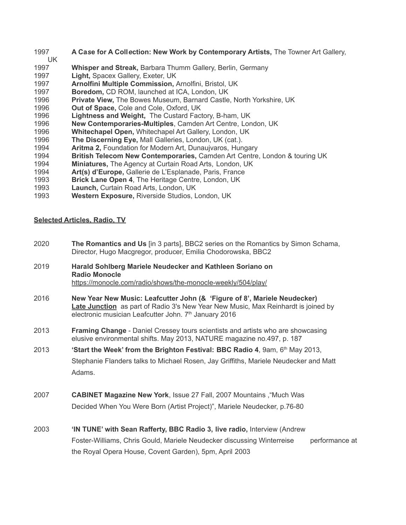- **A Ca***s***e for A Coll***e***ction: New Work by Contemporary Artists,** The Towner Art Gallery,
- **Whisper and Streak,** Barbara Thumm Gallery, Berlin, Germany
- **Light,** Spacex Gallery, Exeter, UK

UK

- **Arnolfini Multiple Commission,** Arnolfini, Bristol, UK
- **Boredom,** CD ROM, launched at ICA, London, UK
- **Private View,** The Bowes Museum, Barnard Castle, North Yorkshire, UK
- **Out of Space,** Cole and Cole, Oxford, UK
- **Lightness and Weight,** The Custard Factory, B-ham, UK
- **New Contemporaries-Multiples**, Camden Art Centre, London, UK
- **Whitechapel Open,** Whitechapel Art Gallery, London, UK
- **The Discerning Eye,** Mall Galleries, London, UK (cat.).
- **Aritma 2,** Foundation for Modern Art, Dunaujvaros, Hungary
- **British Telecom New Contemporaries,** Camden Art Centre, London & touring UK
- **Miniatures,** The Agency at Curtain Road Arts, London, UK
- **Art(s) d'Europe,** Gallerie de L'Esplanade, Paris, France
- **Brick Lane Open 4**, The Heritage Centre, London, UK
- **Launch,** Curtain Road Arts, London, UK
- **Western Exposure,** Riverside Studios, London, UK

### **Selected Articles, Radio, TV**

- **The Romantics and Us** [in 3 parts], BBC2 series on the Romantics by Simon Schama, Director, Hugo Macgregor, producer, Emilia Chodorowska, BBC2
- **Harald Sohlberg Mariele Neudecker and Kathleen Soriano on Radio Monocle** <https://monocle.com/radio/shows/the-monocle-weekly/504/play/>
- **New Year New Music: Leafcutter John (& 'Figure of 8', Mariele Neudecker) [Late Junction](https://www.bbc.co.uk/programmes/b006tp52)** as part of Radio 3's New Year New Music, Max Reinhardt is joined by electronic musician Leafcutter John. 7<sup>th</sup> January 2016
- **Framing Change** Daniel Cressey tours scientists and artists who are showcasing elusive environmental shifts. May 2013, NATURE magazine no.497, p. 187
- **'Start the Week' from the Brighton Festival: BBC Radio 4**, 9am, 6th May 2013, Stephanie Flanders talks to Michael Rosen, Jay Griffiths, Mariele Neudecker and Matt Adams.
- **CABINET Magazine New York**, Issue 27 Fall, 2007 Mountains ,"Much Was Decided When You Were Born (Artist Project)", Mariele Neudecker, p.76-80
- **'IN TUNE' with Sean Rafferty, BBC Radio 3, live radio,** Interview (Andrew Foster-Williams, Chris Gould, Mariele Neudecker discussing Winterreise performance at the Royal Opera House, Covent Garden), 5pm, April 2003